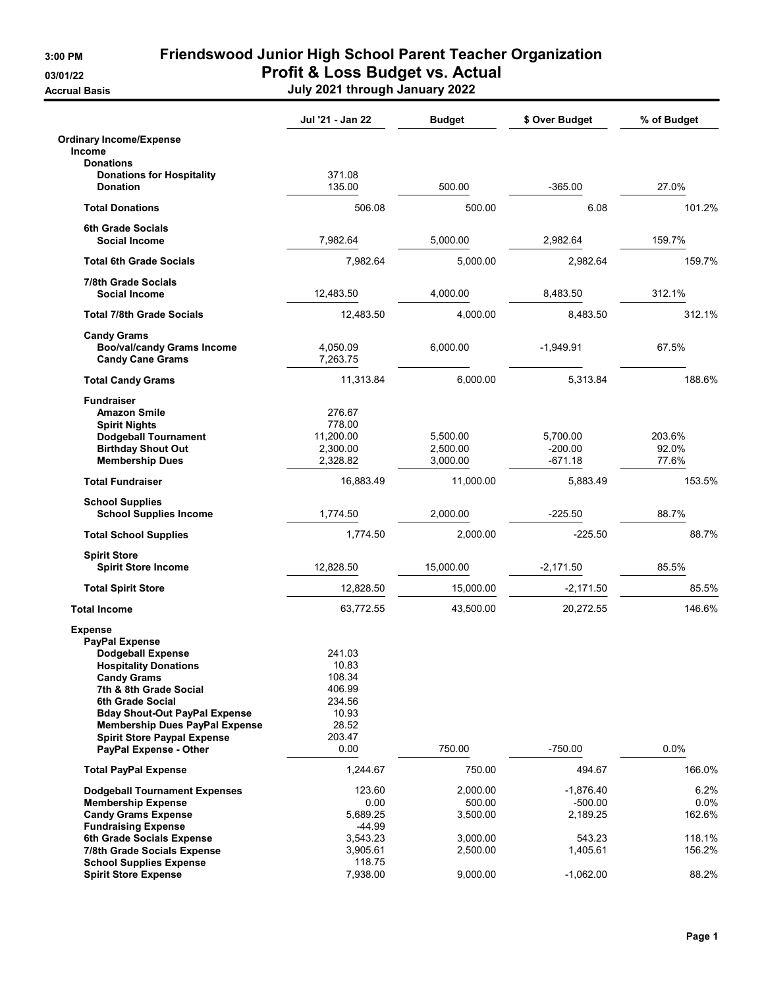**Accrual Basis** 

## 3:00 PM Friendswood Junior High School Parent Teacher Organization 03/01/22 **Profit & Loss Budget vs. Actual**

| July 2021 through January 2022 |  |  |  |
|--------------------------------|--|--|--|
|--------------------------------|--|--|--|

|                                                                                                                                                                                                                                                                                                | Jul '21 - Jan 22                                                          | <b>Budget</b>                    | \$ Over Budget                       | % of Budget               |
|------------------------------------------------------------------------------------------------------------------------------------------------------------------------------------------------------------------------------------------------------------------------------------------------|---------------------------------------------------------------------------|----------------------------------|--------------------------------------|---------------------------|
| <b>Ordinary Income/Expense</b><br><b>Income</b>                                                                                                                                                                                                                                                |                                                                           |                                  |                                      |                           |
| <b>Donations</b>                                                                                                                                                                                                                                                                               |                                                                           |                                  |                                      |                           |
| <b>Donations for Hospitality</b><br><b>Donation</b>                                                                                                                                                                                                                                            | 371.08<br>135.00                                                          | 500.00                           | $-365.00$                            | 27.0%                     |
| <b>Total Donations</b>                                                                                                                                                                                                                                                                         | 506.08                                                                    | 500.00                           | 6.08                                 | 101.2%                    |
| <b>6th Grade Socials</b>                                                                                                                                                                                                                                                                       |                                                                           |                                  |                                      |                           |
| Social Income                                                                                                                                                                                                                                                                                  | 7,982.64                                                                  | 5,000.00                         | 2,982.64                             | 159.7%                    |
| <b>Total 6th Grade Socials</b>                                                                                                                                                                                                                                                                 | 7,982.64                                                                  | 5,000.00                         | 2,982.64                             | 159.7%                    |
| <b>7/8th Grade Socials</b><br><b>Social Income</b>                                                                                                                                                                                                                                             | 12,483.50                                                                 | 4,000.00                         | 8,483.50                             | 312.1%                    |
| <b>Total 7/8th Grade Socials</b>                                                                                                                                                                                                                                                               | 12,483.50                                                                 | 4,000.00                         | 8,483.50                             | 312.1%                    |
| <b>Candy Grams</b><br><b>Boo/val/candy Grams Income</b><br><b>Candy Cane Grams</b>                                                                                                                                                                                                             | 4,050.09<br>7,263.75                                                      | 6,000.00                         | $-1,949.91$                          | 67.5%                     |
| <b>Total Candy Grams</b>                                                                                                                                                                                                                                                                       | 11,313.84                                                                 | 6,000.00                         | 5.313.84                             | 188.6%                    |
| <b>Fundraiser</b><br><b>Amazon Smile</b><br><b>Spirit Nights</b><br><b>Dodgeball Tournament</b><br><b>Birthday Shout Out</b><br><b>Membership Dues</b>                                                                                                                                         | 276.67<br>778.00<br>11.200.00<br>2,300.00<br>2,328.82                     | 5,500.00<br>2,500.00<br>3.000.00 | 5.700.00<br>$-200.00$<br>$-671.18$   | 203.6%<br>92.0%<br>77.6%  |
|                                                                                                                                                                                                                                                                                                |                                                                           |                                  |                                      |                           |
| <b>Total Fundraiser</b>                                                                                                                                                                                                                                                                        | 16,883.49                                                                 | 11,000.00                        | 5,883.49                             | 153.5%                    |
| <b>School Supplies</b><br><b>School Supplies Income</b>                                                                                                                                                                                                                                        | 1,774.50                                                                  | 2,000.00                         | $-225.50$                            | 88.7%                     |
| <b>Total School Supplies</b>                                                                                                                                                                                                                                                                   | 1,774.50                                                                  | 2,000.00                         | $-225.50$                            | 88.7%                     |
| <b>Spirit Store</b><br><b>Spirit Store Income</b>                                                                                                                                                                                                                                              | 12,828.50                                                                 | 15,000.00                        | $-2,171.50$                          | 85.5%                     |
| <b>Total Spirit Store</b>                                                                                                                                                                                                                                                                      | 12,828.50                                                                 | 15,000.00                        | $-2,171.50$                          | 85.5%                     |
| <b>Total Income</b>                                                                                                                                                                                                                                                                            | 63,772.55                                                                 | 43,500.00                        | 20,272.55                            | 146.6%                    |
|                                                                                                                                                                                                                                                                                                |                                                                           |                                  |                                      |                           |
| <b>Expense</b><br><b>PayPal Expense</b><br><b>Dodgeball Expense</b><br><b>Hospitality Donations</b><br><b>Candy Grams</b><br>7th & 8th Grade Social<br>6th Grade Social<br><b>Bday Shout-Out PayPal Expense</b><br><b>Membership Dues PayPal Expense</b><br><b>Spirit Store Paypal Expense</b> | 241.03<br>10.83<br>108.34<br>406.99<br>234.56<br>10.93<br>28.52<br>203.47 |                                  |                                      |                           |
| PayPal Expense - Other                                                                                                                                                                                                                                                                         | 0.00                                                                      | 750.00                           | $-750.00$                            | 0.0%                      |
| <b>Total PayPal Expense</b>                                                                                                                                                                                                                                                                    | 1,244.67                                                                  | 750.00                           | 494.67                               | 166.0%                    |
| <b>Dodgeball Tournament Expenses</b><br><b>Membership Expense</b><br><b>Candy Grams Expense</b><br><b>Fundraising Expense</b>                                                                                                                                                                  | 123.60<br>0.00<br>5,689.25<br>-44.99                                      | 2,000.00<br>500.00<br>3,500.00   | $-1,876.40$<br>$-500.00$<br>2,189.25 | 6.2%<br>$0.0\%$<br>162.6% |
| 6th Grade Socials Expense<br>7/8th Grade Socials Expense<br><b>School Supplies Expense</b>                                                                                                                                                                                                     | 3,543.23<br>3,905.61<br>118.75                                            | 3,000.00<br>2,500.00             | 543.23<br>1,405.61                   | 118.1%<br>156.2%          |
| <b>Spirit Store Expense</b>                                                                                                                                                                                                                                                                    | 7,938.00                                                                  | 9,000.00                         | $-1,062.00$                          | 88.2%                     |